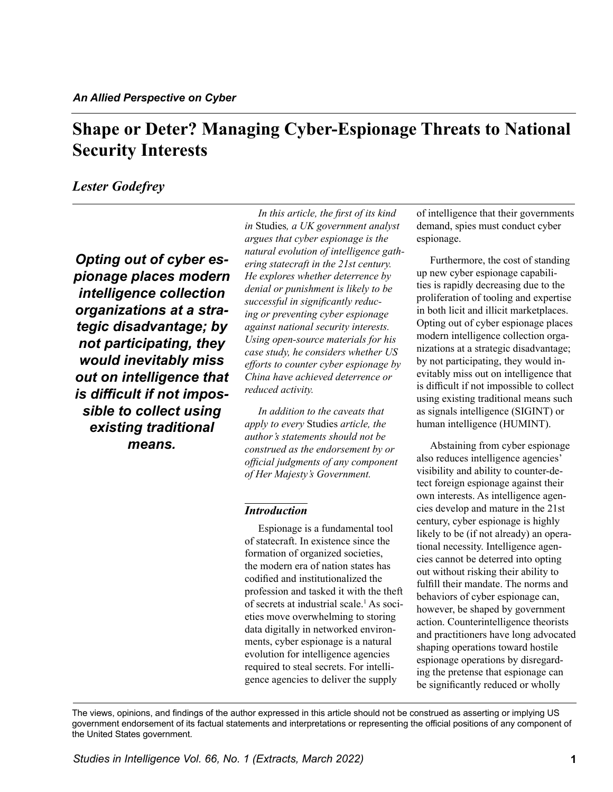# <span id="page-0-0"></span>**Shape or Deter? Managing Cyber-Espionage Threats to National Security Interests**

# *Lester Godefrey*

*Opting out of cyber espionage places modern intelligence collection organizations at a strategic disadvantage; by not participating, they would inevitably miss out on intelligence that is difficult if not impossible to collect using existing traditional means.*

*In this article, the first of its kind in* Studies*, a UK government analyst argues that cyber espionage is the natural evolution of intelligence gathering statecraft in the 21st century. He explores whether deterrence by denial or punishment is likely to be successful in significantly reducing or preventing cyber espionage against national security interests. Using open-source materials for his case study, he considers whether US efforts to counter cyber espionage by China have achieved deterrence or reduced activity.* 

*In addition to the caveats that apply to every* Studies *article, the author's statements should not be construed as the endorsement by or official judgments of any component of Her Majesty's Government.*

#### *Introduction*

Espionage is a fundamental tool of statecraft. In existence since the formation of organized societies, the modern era of nation states has codified and institutionalized the profession and tasked it with the theft of secrets at industrial scale.<sup>1</sup> As societies move overwhelming to storing data digitally in networked environments, cyber espionage is a natural evolution for intelligence agencies required to steal secrets. For intelligence agencies to deliver the supply

of intelligence that their governments demand, spies must conduct cyber espionage.

Furthermore, the cost of standing up new cyber espionage capabilities is rapidly decreasing due to the proliferation of tooling and expertise in both licit and illicit marketplaces. Opting out of cyber espionage places modern intelligence collection organizations at a strategic disadvantage; by not participating, they would inevitably miss out on intelligence that is difficult if not impossible to collect using existing traditional means such as signals intelligence (SIGINT) or human intelligence (HUMINT).

Abstaining from cyber espionage also reduces intelligence agencies' visibility and ability to counter-detect foreign espionage against their own interests. As intelligence agencies develop and mature in the 21st century, cyber espionage is highly likely to be (if not already) an operational necessity. Intelligence agencies cannot be deterred into opting out without risking their ability to fulfill their mandate. The norms and behaviors of cyber espionage can, however, be shaped by government action. Counterintelligence theorists and practitioners have long advocated shaping operations toward hostile espionage operations by disregarding the pretense that espionage can be significantly reduced or wholly

The views, opinions, and findings of the author expressed in this article should not be construed as asserting or implying US government endorsement of its factual statements and interpretations or representing the official positions of any component of the United States government.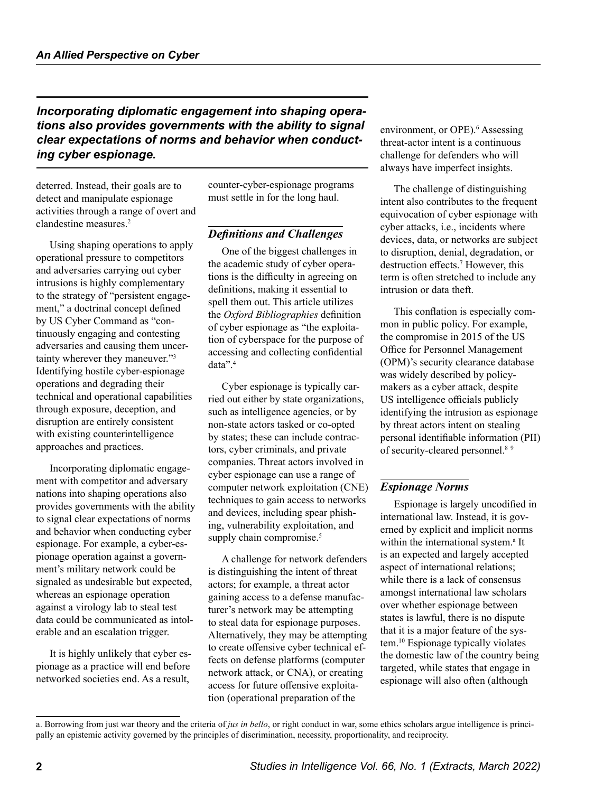<span id="page-1-0"></span>*Incorporating diplomatic engagement into shaping operations also provides governments with the ability to signal clear expectations of norms and behavior when conducting cyber espionage.*

deterred. Instead, their goals are to detect and manipulate espionage activities through a range of overt and clandestine measures.[2](#page-8-0)

Using shaping operations to apply operational pressure to competitors and adversaries carrying out cyber intrusions is highly complementary to the strategy of "persistent engagement," a doctrinal concept defined by US Cyber Command as "continuously engaging and contesting adversaries and causing them uncertainty wherever they maneuver."<sup>3</sup> Identifying hostile cyber-espionage operations and degrading their technical and operational capabilities through exposure, deception, and disruption are entirely consistent with existing counterintelligence approaches and practices.

Incorporating diplomatic engagement with competitor and adversary nations into shaping operations also provides governments with the ability to signal clear expectations of norms and behavior when conducting cyber espionage. For example, a cyber-espionage operation against a government's military network could be signaled as undesirable but expected, whereas an espionage operation against a virology lab to steal test data could be communicated as intolerable and an escalation trigger.

It is highly unlikely that cyber espionage as a practice will end before networked societies end. As a result,

counter-cyber-espionage programs must settle in for the long haul.

### *Definitions and Challenges*

One of the biggest challenges in the academic study of cyber operations is the difficulty in agreeing on definitions, making it essential to spell them out. This article utilizes the *Oxford Bibliographies* definition of cyber espionage as "the exploitation of cyberspace for the purpose of accessing and collecting confidential data".[4](#page-8-0)

Cyber espionage is typically carried out either by state organizations, such as intelligence agencies, or by non-state actors tasked or co-opted by states; these can include contractors, cyber criminals, and private companies. Threat actors involved in cyber espionage can use a range of computer network exploitation (CNE) techniques to gain access to networks and devices, including spear phishing, vulnerability exploitation, and supply chain compromise.<sup>[5](#page-8-0)</sup>

A challenge for network defenders is distinguishing the intent of threat actors; for example, a threat actor gaining access to a defense manufacturer's network may be attempting to steal data for espionage purposes. Alternatively, they may be attempting to create offensive cyber technical effects on defense platforms (computer network attack, or CNA), or creating access for future offensive exploitation (operational preparation of the

environment, or OPE).<sup>[6](#page-8-0)</sup> Assessing threat-actor intent is a continuous challenge for defenders who will always have imperfect insights.

The challenge of distinguishing intent also contributes to the frequent equivocation of cyber espionage with cyber attacks, i.e., incidents where devices, data, or networks are subject to disruption, denial, degradation, or destruction effects.[7](#page-8-0) However, this term is often stretched to include any intrusion or data theft.

This conflation is especially common in public policy. For example, the compromise in 2015 of the US Office for Personnel Management (OPM)'s security clearance database was widely described by policymakers as a cyber attack, despite US intelligence officials publicly identifying the intrusion as espionage by threat actors intent on stealing personal identifiable information (PII) of security-cleared personnel.<sup>8[9](#page-8-0)</sup>

### *Espionage Norms*

Espionage is largely uncodified in international law. Instead, it is governed by explicit and implicit norms within the international system.<sup>a</sup> It is an expected and largely accepted aspect of international relations; while there is a lack of consensus amongst international law scholars over whether espionage between states is lawful, there is no dispute that it is a major feature of the system[.10](#page-8-0) Espionage typically violates the domestic law of the country being targeted, while states that engage in espionage will also often (although

a. Borrowing from just war theory and the criteria of *jus in bello*, or right conduct in war, some ethics scholars argue intelligence is principally an epistemic activity governed by the principles of discrimination, necessity, proportionality, and reciprocity.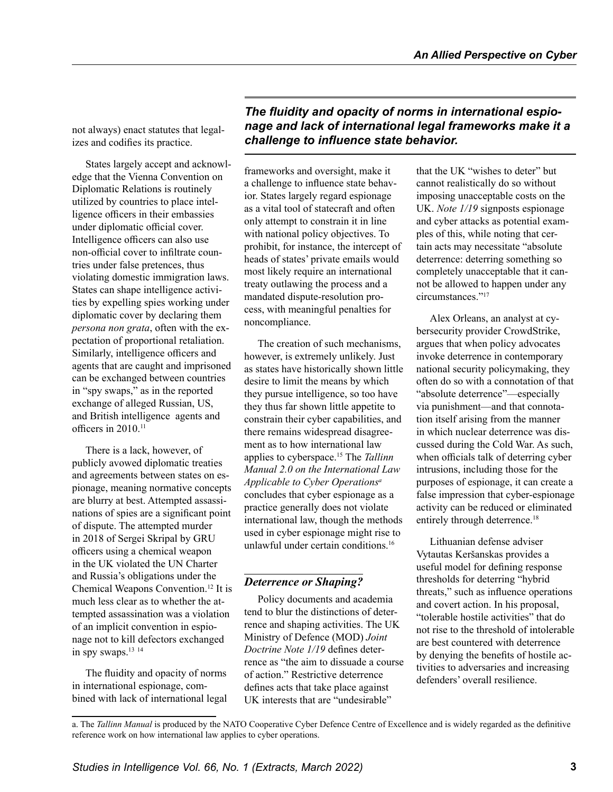<span id="page-2-0"></span>not always) enact statutes that legalizes and codifies its practice.

States largely accept and acknowledge that the Vienna Convention on Diplomatic Relations is routinely utilized by countries to place intelligence officers in their embassies under diplomatic official cover. Intelligence officers can also use non-official cover to infiltrate countries under false pretences, thus violating domestic immigration laws. States can shape intelligence activities by expelling spies working under diplomatic cover by declaring them *persona non grata*, often with the expectation of proportional retaliation. Similarly, intelligence officers and agents that are caught and imprisoned can be exchanged between countries in "spy swaps," as in the reported exchange of alleged Russian, US, and British intelligence agents and officers in 2010.<sup>[11](#page-8-0)</sup>

There is a lack, however, of publicly avowed diplomatic treaties and agreements between states on espionage, meaning normative concepts are blurry at best. Attempted assassinations of spies are a significant point of dispute. The attempted murder in 2018 of Sergei Skripal by GRU officers using a chemical weapon in the UK violated the UN Charter and Russia's obligations under the Chemical Weapons Convention[.12](#page-8-0) It is much less clear as to whether the attempted assassination was a violation of an implicit convention in espionage not to kill defectors exchanged in spy swaps[.13](#page-8-0) [14](#page-8-0)

The fluidity and opacity of norms in international espionage, combined with lack of international legal

*The fluidity and opacity of norms in international espionage and lack of international legal frameworks make it a challenge to influence state behavior.* 

frameworks and oversight, make it a challenge to influence state behavior. States largely regard espionage as a vital tool of statecraft and often only attempt to constrain it in line with national policy objectives. To prohibit, for instance, the intercept of heads of states' private emails would most likely require an international treaty outlawing the process and a mandated dispute-resolution process, with meaningful penalties for noncompliance.

The creation of such mechanisms, however, is extremely unlikely. Just as states have historically shown little desire to limit the means by which they pursue intelligence, so too have they thus far shown little appetite to constrain their cyber capabilities, and there remains widespread disagreement as to how international law applies to cyberspace[.15](#page-8-0) The *Tallinn Manual 2.0 on the International Law Applicable to Cyber Operations<sup>a</sup>* concludes that cyber espionage as a practice generally does not violate international law, though the methods used in cyber espionage might rise to unlawful under certain conditions[.16](#page-8-0)

### *Deterrence or Shaping?*

Policy documents and academia tend to blur the distinctions of deterrence and shaping activities. The UK Ministry of Defence (MOD) *Joint Doctrine Note 1/19* defines deterrence as "the aim to dissuade a course of action." Restrictive deterrence defines acts that take place against UK interests that are "undesirable"

that the UK "wishes to deter" but cannot realistically do so without imposing unacceptable costs on the UK. *Note 1/19* signposts espionage and cyber attacks as potential examples of this, while noting that certain acts may necessitate "absolute deterrence: deterring something so completely unacceptable that it cannot be allowed to happen under any circumstances."[17](#page-8-0)

Alex Orleans, an analyst at cybersecurity provider CrowdStrike, argues that when policy advocates invoke deterrence in contemporary national security policymaking, they often do so with a connotation of that "absolute deterrence"—especially via punishment—and that connotation itself arising from the manner in which nuclear deterrence was discussed during the Cold War. As such, when officials talk of deterring cyber intrusions, including those for the purposes of espionage, it can create a false impression that cyber-espionage activity can be reduced or eliminated entirely through deterrence.<sup>18</sup>

Lithuanian defense adviser Vytautas Keršanskas provides a useful model for defining response thresholds for deterring "hybrid threats," such as influence operations and covert action. In his proposal, "tolerable hostile activities" that do not rise to the threshold of intolerable are best countered with deterrence by denying the benefits of hostile activities to adversaries and increasing defenders' overall resilience.

a. The *Tallinn Manual* is produced by the NATO Cooperative Cyber Defence Centre of Excellence and is widely regarded as the definitive reference work on how international law applies to cyber operations.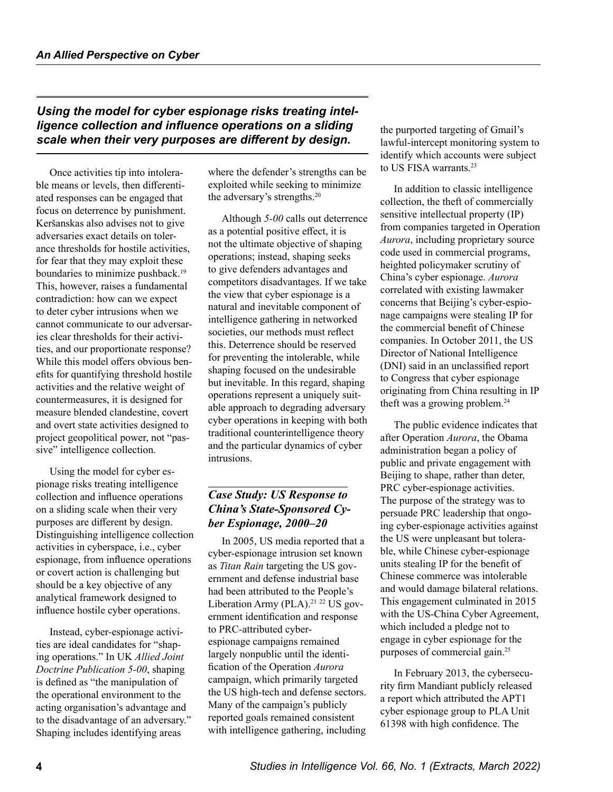# <span id="page-3-0"></span>*Using the model for cyber espionage risks treating intelligence collection and influence operations on a sliding scale when their very purposes are different by design.*

Once activities tip into intolerable means or levels, then differentiated responses can be engaged that focus on deterrence by punishment. Keršanskas also advises not to give adversaries exact details on tolerance thresholds for hostile activities, for fear that they may exploit these boundaries to minimize pushback.<sup>19</sup> This, however, raises a fundamental contradiction: how can we expect to deter cyber intrusions when we cannot communicate to our adversaries clear thresholds for their activities, and our proportionate response? While this model offers obvious benefits for quantifying threshold hostile activities and the relative weight of countermeasures, it is designed for measure blended clandestine, covert and overt state activities designed to project geopolitical power, not "passive" intelligence collection.

Using the model for cyber espionage risks treating intelligence collection and influence operations on a sliding scale when their very purposes are different by design. Distinguishing intelligence collection activities in cyberspace, i.e., cyber espionage, from influence operations or covert action is challenging but should be a key objective of any analytical framework designed to influence hostile cyber operations.

Instead, cyber-espionage activities are ideal candidates for "shaping operations." In UK *Allied Joint Doctrine Publication 5-00*, shaping is defined as "the manipulation of the operational environment to the acting organisation's advantage and to the disadvantage of an adversary." Shaping includes identifying areas

where the defender's strengths can be exploited while seeking to minimize the adversary's strengths[.20](#page-8-0)

Although *5-00* calls out deterrence as a potential positive effect, it is not the ultimate objective of shaping operations; instead, shaping seeks to give defenders advantages and competitors disadvantages. If we take the view that cyber espionage is a natural and inevitable component of intelligence gathering in networked societies, our methods must reflect this. Deterrence should be reserved for preventing the intolerable, while shaping focused on the undesirable but inevitable. In this regard, shaping operations represent a uniquely suitable approach to degrading adversary cyber operations in keeping with both traditional counterintelligence theory and the particular dynamics of cyber intrusions.

# *Case Study: US Response to China's State-Sponsored Cyber Espionage, 2000–20*

In 2005, US media reported that a cyber-espionage intrusion set known as *Titan Rain* targeting the US government and defense industrial base had been attributed to the People's Liberation Army (PLA).<sup>21 [22](#page-8-0)</sup> US government identification and response to PRC-attributed cyberespionage campaigns remained largely nonpublic until the identification of the Operation *Aurora* campaign, which primarily targeted the US high-tech and defense sectors. Many of the campaign's publicly reported goals remained consistent with intelligence gathering, including

the purported targeting of Gmail's lawful-intercept monitoring system to identify which accounts were subject to US FISA warrants[.23](#page-8-0)

In addition to classic intelligence collection, the theft of commercially sensitive intellectual property (IP) from companies targeted in Operation *Aurora*, including proprietary source code used in commercial programs, heighted policymaker scrutiny of China's cyber espionage. *Aurora* correlated with existing lawmaker concerns that Beijing's cyber-espionage campaigns were stealing IP for the commercial benefit of Chinese companies. In October 2011, the US Director of National Intelligence (DNI) said in an unclassified report to Congress that cyber espionage originating from China resulting in IP theft was a growing problem.<sup>24</sup>

The public evidence indicates that after Operation *Aurora*, the Obama administration began a policy of public and private engagement with Beijing to shape, rather than deter, PRC cyber-espionage activities. The purpose of the strategy was to persuade PRC leadership that ongoing cyber-espionage activities against the US were unpleasant but tolerable, while Chinese cyber-espionage units stealing IP for the benefit of Chinese commerce was intolerable and would damage bilateral relations. This engagement culminated in 2015 with the US-China Cyber Agreement, which included a pledge not to engage in cyber espionage for the purposes of commercial gain[.25](#page-8-0)

In February 2013, the cybersecurity firm Mandiant publicly released a report which attributed the APT1 cyber espionage group to PLA Unit 61398 with high confidence. The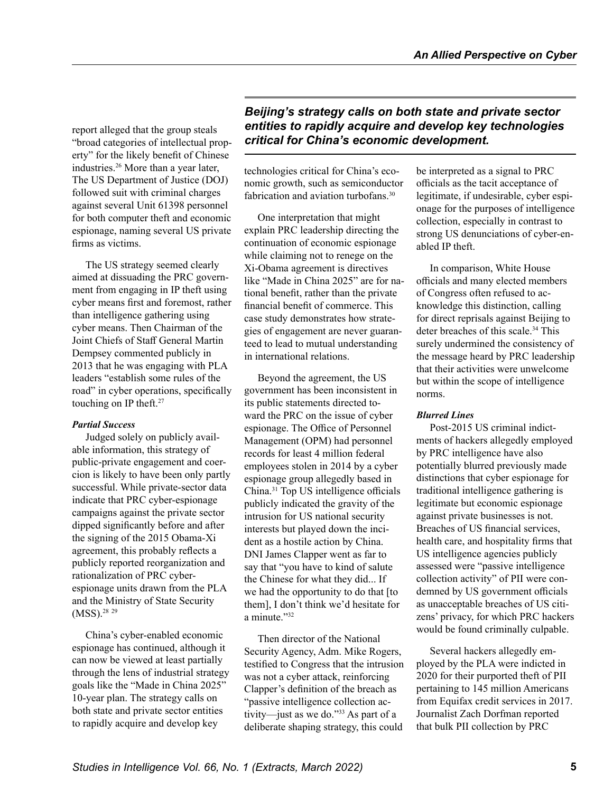<span id="page-4-0"></span>report alleged that the group steals "broad categories of intellectual property" for the likely benefit of Chinese industries[.26](#page-8-0) More than a year later, The US Department of Justice (DOJ) followed suit with criminal charges against several Unit 61398 personnel for both computer theft and economic espionage, naming several US private firms as victims.

The US strategy seemed clearly aimed at dissuading the PRC government from engaging in IP theft using cyber means first and foremost, rather than intelligence gathering using cyber means. Then Chairman of the Joint Chiefs of Staff General Martin Dempsey commented publicly in 2013 that he was engaging with PLA leaders "establish some rules of the road" in cyber operations, specifically touching on IP theft.<sup>[27](#page-8-0)</sup>

#### *Partial Success*

Judged solely on publicly available information, this strategy of public-private engagement and coercion is likely to have been only partly successful. While private-sector data indicate that PRC cyber-espionage campaigns against the private sector dipped significantly before and after the signing of the 2015 Obama-Xi agreement, this probably reflects a publicly reported reorganization and rationalization of PRC cyberespionage units drawn from the PLA and the Ministry of State Security (MSS).[28](#page-8-0) [29](#page-9-0)

China's cyber-enabled economic espionage has continued, although it can now be viewed at least partially through the lens of industrial strategy goals like the "Made in China 2025" 10-year plan. The strategy calls on both state and private sector entities to rapidly acquire and develop key

*Beijing's strategy calls on both state and private sector entities to rapidly acquire and develop key technologies critical for China's economic development.*

technologies critical for China's economic growth, such as semiconductor fabrication and aviation turbofans.<sup>[30](#page-9-0)</sup>

One interpretation that might explain PRC leadership directing the continuation of economic espionage while claiming not to renege on the Xi-Obama agreement is directives like "Made in China 2025" are for national benefit, rather than the private financial benefit of commerce. This case study demonstrates how strategies of engagement are never guaranteed to lead to mutual understanding in international relations.

Beyond the agreement, the US government has been inconsistent in its public statements directed toward the PRC on the issue of cyber espionage. The Office of Personnel Management (OPM) had personnel records for least 4 million federal employees stolen in 2014 by a cyber espionage group allegedly based in China.[31](#page-9-0) Top US intelligence officials publicly indicated the gravity of the intrusion for US national security interests but played down the incident as a hostile action by China. DNI James Clapper went as far to say that "you have to kind of salute the Chinese for what they did... If we had the opportunity to do that [to them], I don't think we'd hesitate for a minute."[32](#page-9-0)

Then director of the National Security Agency, Adm. Mike Rogers, testified to Congress that the intrusion was not a cyber attack, reinforcing Clapper's definition of the breach as "passive intelligence collection activity—just as we do.["33](#page-9-0) As part of a deliberate shaping strategy, this could

be interpreted as a signal to PRC officials as the tacit acceptance of legitimate, if undesirable, cyber espionage for the purposes of intelligence collection, especially in contrast to strong US denunciations of cyber-enabled IP theft.

In comparison, White House officials and many elected members of Congress often refused to acknowledge this distinction, calling for direct reprisals against Beijing to deter breaches of this scale.<sup>34</sup> This surely undermined the consistency of the message heard by PRC leadership that their activities were unwelcome but within the scope of intelligence norms.

#### *Blurred Lines*

Post-2015 US criminal indictments of hackers allegedly employed by PRC intelligence have also potentially blurred previously made distinctions that cyber espionage for traditional intelligence gathering is legitimate but economic espionage against private businesses is not. Breaches of US financial services, health care, and hospitality firms that US intelligence agencies publicly assessed were "passive intelligence collection activity" of PII were condemned by US government officials as unacceptable breaches of US citizens' privacy, for which PRC hackers would be found criminally culpable.

Several hackers allegedly employed by the PLA were indicted in 2020 for their purported theft of PII pertaining to 145 million Americans from Equifax credit services in 2017. Journalist Zach Dorfman reported that bulk PII collection by PRC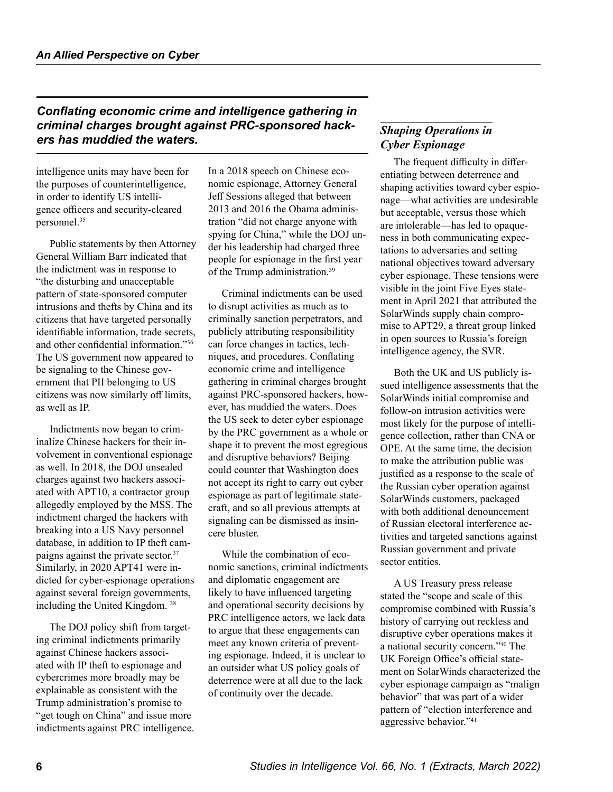<span id="page-5-0"></span>*Conflating economic crime and intelligence gathering in criminal charges brought against PRC-sponsored hackers has muddied the waters.* 

intelligence units may have been for the purposes of counterintelligence, in order to identify US intelligence officers and security-cleared personnel[.35](#page-9-0)

Public statements by then Attorney General William Barr indicated that the indictment was in response to "the disturbing and unacceptable pattern of state-sponsored computer intrusions and thefts by China and its citizens that have targeted personally identifiable information, trade secrets, and other confidential information."[36](#page-9-0) The US government now appeared to be signaling to the Chinese government that PII belonging to US citizens was now similarly off limits, as well as IP.

Indictments now began to criminalize Chinese hackers for their involvement in conventional espionage as well. In 2018, the DOJ unsealed charges against two hackers associated with APT10, a contractor group allegedly employed by the MSS. The indictment charged the hackers with breaking into a US Navy personnel database, in addition to IP theft cam-paigns against the private sector.<sup>[37](#page-9-0)</sup> Similarly, in 2020 APT41 were indicted for cyber-espionage operations against several foreign governments, including the United Kingdom. [38](#page-9-0)

The DOJ policy shift from targeting criminal indictments primarily against Chinese hackers associated with IP theft to espionage and cybercrimes more broadly may be explainable as consistent with the Trump administration's promise to "get tough on China" and issue more indictments against PRC intelligence. In a 2018 speech on Chinese economic espionage, Attorney General Jeff Sessions alleged that between 2013 and 2016 the Obama administration "did not charge anyone with spying for China," while the DOJ under his leadership had charged three people for espionage in the first year of the Trump administration.[39](#page-9-0)

Criminal indictments can be used to disrupt activities as much as to criminally sanction perpetrators, and publicly attributing responsibilitity can force changes in tactics, techniques, and procedures. Conflating economic crime and intelligence gathering in criminal charges brought against PRC-sponsored hackers, however, has muddied the waters. Does the US seek to deter cyber espionage by the PRC government as a whole or shape it to prevent the most egregious and disruptive behaviors? Beijing could counter that Washington does not accept its right to carry out cyber espionage as part of legitimate statecraft, and so all previous attempts at signaling can be dismissed as insincere bluster.

While the combination of economic sanctions, criminal indictments and diplomatic engagement are likely to have influenced targeting and operational security decisions by PRC intelligence actors, we lack data to argue that these engagements can meet any known criteria of preventing espionage. Indeed, it is unclear to an outsider what US policy goals of deterrence were at all due to the lack of continuity over the decade.

# *Shaping Operations in Cyber Espionage*

The frequent difficulty in differentiating between deterrence and shaping activities toward cyber espionage—what activities are undesirable but acceptable, versus those which are intolerable—has led to opaqueness in both communicating expectations to adversaries and setting national objectives toward adversary cyber espionage. These tensions were visible in the joint Five Eyes statement in April 2021 that attributed the SolarWinds supply chain compromise to APT29, a threat group linked in open sources to Russia's foreign intelligence agency, the SVR.

Both the UK and US publicly issued intelligence assessments that the SolarWinds initial compromise and follow-on intrusion activities were most likely for the purpose of intelligence collection, rather than CNA or OPE. At the same time, the decision to make the attribution public was justified as a response to the scale of the Russian cyber operation against SolarWinds customers, packaged with both additional denouncement of Russian electoral interference activities and targeted sanctions against Russian government and private sector entities.

A US Treasury press release stated the "scope and scale of this compromise combined with Russia's history of carrying out reckless and disruptive cyber operations makes it a national security concern.["40](#page-9-0) The UK Foreign Office's official statement on SolarWinds characterized the cyber espionage campaign as "malign behavior" that was part of a wider pattern of "election interference and aggressive behavior.["41](#page-9-0)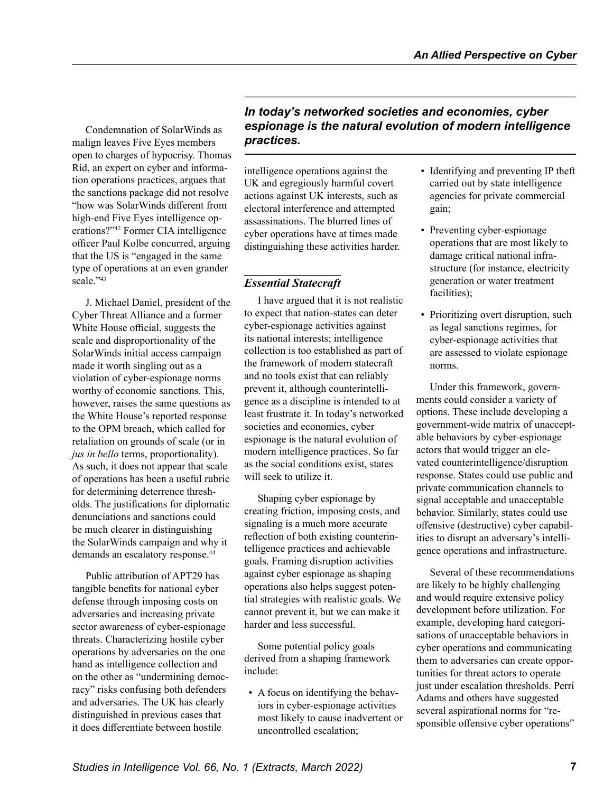<span id="page-6-0"></span>Condemnation of SolarWinds as malign leaves Five Eyes members open to charges of hypocrisy. Thomas Rid, an expert on cyber and information operations practices, argues that the sanctions package did not resolve "how was SolarWinds different from high-end Five Eyes intelligence operations?"[42](#page-9-0) Former CIA intelligence officer Paul Kolbe concurred, arguing that the US is "engaged in the same type of operations at an even grander scale."<sup>43</sup>

J. Michael Daniel, president of the Cyber Threat Alliance and a former White House official, suggests the scale and disproportionality of the SolarWinds initial access campaign made it worth singling out as a violation of cyber-espionage norms worthy of economic sanctions. This, however, raises the same questions as the White House's reported response to the OPM breach, which called for retaliation on grounds of scale (or in *jus in bello* terms, proportionality). As such, it does not appear that scale of operations has been a useful rubric for determining deterrence thresholds. The justifications for diplomatic denunciations and sanctions could be much clearer in distinguishing the SolarWinds campaign and why it demands an escalatory response.<sup>44</sup>

Public attribution of APT29 has tangible benefits for national cyber defense through imposing costs on adversaries and increasing private sector awareness of cyber-espionage threats. Characterizing hostile cyber operations by adversaries on the one hand as intelligence collection and on the other as "undermining democracy" risks confusing both defenders and adversaries. The UK has clearly distinguished in previous cases that it does differentiate between hostile

# *In today's networked societies and economies, cyber espionage is the natural evolution of modern intelligence practices.*

intelligence operations against the UK and egregiously harmful covert actions against UK interests, such as electoral interference and attempted assassinations. The blurred lines of cyber operations have at times made distinguishing these activities harder.

# *Essential Statecraft*

I have argued that it is not realistic to expect that nation-states can deter cyber-espionage activities against its national interests; intelligence collection is too established as part of the framework of modern statecraft and no tools exist that can reliably prevent it, although counterintelligence as a discipline is intended to at least frustrate it. In today's networked societies and economies, cyber espionage is the natural evolution of modern intelligence practices. So far as the social conditions exist, states will seek to utilize it.

Shaping cyber espionage by creating friction, imposing costs, and signaling is a much more accurate reflection of both existing counterintelligence practices and achievable goals. Framing disruption activities against cyber espionage as shaping operations also helps suggest potential strategies with realistic goals. We cannot prevent it, but we can make it harder and less successful.

Some potential policy goals derived from a shaping framework include:

• A focus on identifying the behaviors in cyber-espionage activities most likely to cause inadvertent or uncontrolled escalation;

- Identifying and preventing IP theft carried out by state intelligence agencies for private commercial gain;
- Preventing cyber-espionage operations that are most likely to damage critical national infrastructure (for instance, electricity generation or water treatment facilities);
- Prioritizing overt disruption, such as legal sanctions regimes, for cyber-espionage activities that are assessed to violate espionage norms.

Under this framework, governments could consider a variety of options. These include developing a government-wide matrix of unacceptable behaviors by cyber-espionage actors that would trigger an elevated counterintelligence/disruption response. States could use public and private communication channels to signal acceptable and unacceptable behavior. Similarly, states could use offensive (destructive) cyber capabilities to disrupt an adversary's intelligence operations and infrastructure.

Several of these recommendations are likely to be highly challenging and would require extensive policy development before utilization. For example, developing hard categorisations of unacceptable behaviors in cyber operations and communicating them to adversaries can create opportunities for threat actors to operate just under escalation thresholds. Perri Adams and others have suggested several aspirational norms for "responsible offensive cyber operations"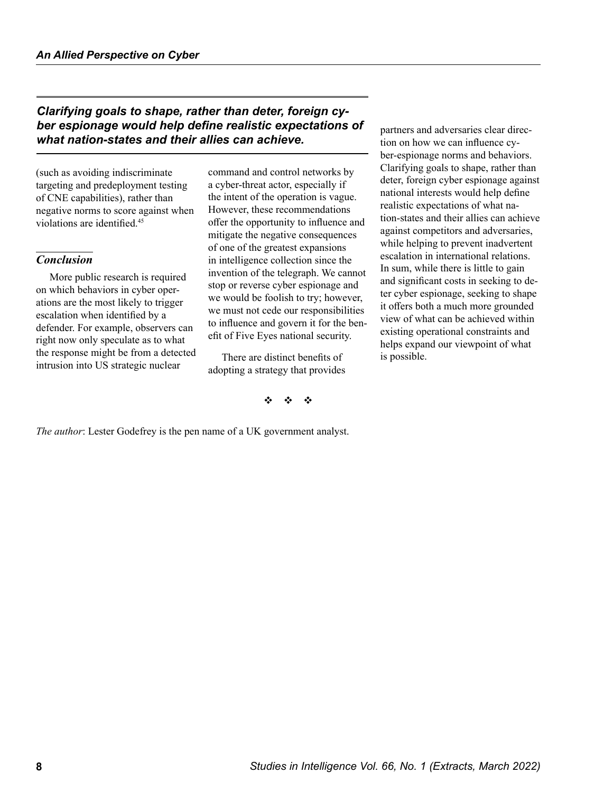### <span id="page-7-0"></span>*Clarifying goals to shape, rather than deter, foreign cyber espionage would help define realistic expectations of what nation-states and their allies can achieve.*

(such as avoiding indiscriminate targeting and predeployment testing of CNE capabilities), rather than negative norms to score against when violations are identified.[45](#page-9-0)

### *Conclusion*

More public research is required on which behaviors in cyber operations are the most likely to trigger escalation when identified by a defender. For example, observers can right now only speculate as to what the response might be from a detected intrusion into US strategic nuclear

command and control networks by a cyber-threat actor, especially if the intent of the operation is vague. However, these recommendations offer the opportunity to influence and mitigate the negative consequences of one of the greatest expansions in intelligence collection since the invention of the telegraph. We cannot stop or reverse cyber espionage and we would be foolish to try; however, we must not cede our responsibilities to influence and govern it for the benefit of Five Eyes national security.

There are distinct benefits of adopting a strategy that provides

v v v

*The author*: Lester Godefrey is the pen name of a UK government analyst.

partners and adversaries clear direction on how we can influence cyber-espionage norms and behaviors. Clarifying goals to shape, rather than deter, foreign cyber espionage against national interests would help define realistic expectations of what nation-states and their allies can achieve against competitors and adversaries, while helping to prevent inadvertent escalation in international relations. In sum, while there is little to gain and significant costs in seeking to deter cyber espionage, seeking to shape it offers both a much more grounded view of what can be achieved within existing operational constraints and helps expand our viewpoint of what is possible.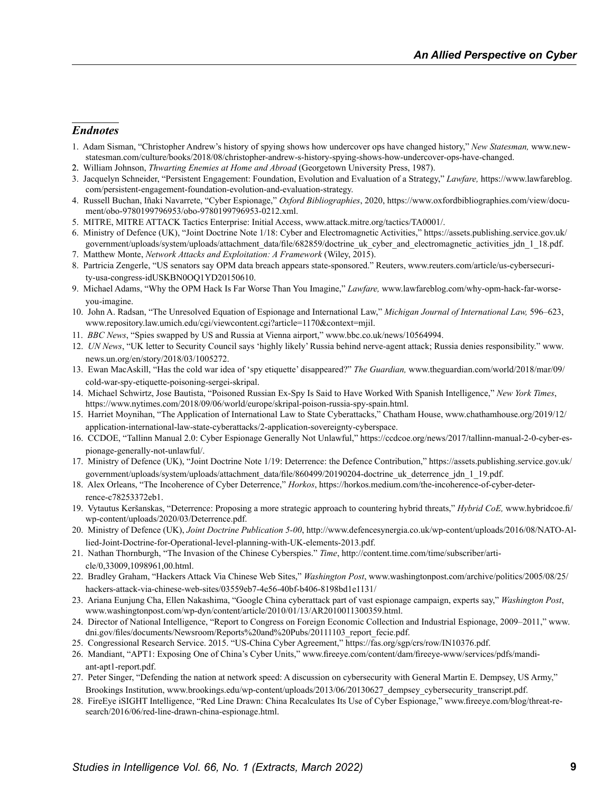### <span id="page-8-0"></span>*Endnotes*

- 1. [A](#page-0-0)dam Sisman, "Christopher Andrew's history of spying shows how undercover ops have changed history," *New Statesman,* www.newstatesman.com/culture/books/2018/08/christopher-andrew-s-history-spying-shows-how-undercover-ops-have-changed.
- 2. William Johnson, *Thwarting Enemies at Home and Abroad* (Georgetown University Press, 1987).
- 3. Jacquelyn Schneider, "Persistent Engagement: Foundation, Evolution and Evaluation of a Strategy," *Lawfare,* https://www.lawfareblog. com/persistent-engagement-foundation-evolution-and-evaluation-strategy.
- 4. Russell Buchan, Iñaki Navarrete, "Cyber Espionage," *Oxford Bibliographies*, 2020, https://www.oxfordbibliographies.com/view/document/obo-9780199796953/obo-9780199796953-0212.xml.
- 5. MITRE, MITRE ATTACK Tactics Enterprise: Initial Access, www.attack.mitre.org/tactics/TA0001/.
- 6. Ministry of Defence (UK), "Joint Doctrine Note 1/18: Cyber and Electromagnetic Activities," https://assets.publishing.service.gov.uk/ government/uploads/system/uploads/attachment\_data/file/682859/doctrine\_uk\_cyber\_and\_electromagnetic\_activities\_jdn\_1\_18.pdf.
- 7. Matthew Monte, *Network Attacks and Exploitation: A Framework* (Wiley, 2015).
- 8. Partricia Zengerle, "US senators say OPM data breach appears state-sponsored." Reuters, www.reuters.com/article/us-cybersecurity-usa-congress-idUSKBN0OQ1YD20150610.
- 9. Michael Adams, "Why the OPM Hack Is Far Worse Than You Imagine," *Lawfare,* www.lawfareblog.com/why-opm-hack-far-worseyou-imagine.
- 10. [J](#page-1-0)ohn A. Radsan, "The Unresolved Equation of Espionage and International Law," *Michigan Journal of International Law,* 596–623, www.repository.law.umich.edu/cgi/viewcontent.cgi?article=1170&context=mjil.
- 11.*BBC News*, "Spies swapped by US and Russia at Vienna airport," www.bbc.co.uk/news/10564994.
- 12. *[U](#page-2-0)N News*, "UK letter to Security Council says 'highly likely' Russia behind nerve-agent attack; Russia denies responsibility." www. news.un.org/en/story/2018/03/1005272.
- 13. [E](#page-2-0)wan MacAskill, "Has the cold war idea of 'spy etiquette' disappeared?" *The Guardian,* www.theguardian.com/world/2018/mar/09/ cold-war-spy-etiquette-poisoning-sergei-skripal.
- 14. [M](#page-2-0)ichael Schwirtz, Jose Bautista, "Poisoned Russian Ex-Spy Is Said to Have Worked With Spanish Intelligence," *New York Times*, https://www.nytimes.com/2018/09/06/world/europe/skripal-poison-russia-spy-spain.html.
- 15. [H](#page-2-0)arriet Moynihan, "The Application of International Law to State Cyberattacks," Chatham House, www.chathamhouse.org/2019/12/ application-international-law-state-cyberattacks/2-application-sovereignty-cyberspace.
- 16. [C](#page-2-0)CDOE, "Tallinn Manual 2.0: Cyber Espionage Generally Not Unlawful," https://ccdcoe.org/news/2017/tallinn-manual-2-0-cyber-espionage-generally-not-unlawful/.
- 17. [M](#page-2-0)inistry of Defence (UK), "Joint Doctrine Note 1/19: Deterrence: the Defence Contribution," https://assets.publishing.service.gov.uk/ government/uploads/system/uploads/attachment\_data/file/860499/20190204-doctrine\_uk\_deterrence\_jdn\_1\_19.pdf.
- 18. Alex Orleans, "The Incoherence of Cyber Deterrence," *Horkos*, https://horkos.medium.com/the-incoherence-of-cyber-deterrence-c78253372eb1.
- 19. [V](#page-3-0)ytautus Keršanskas, "Deterrence: Proposing a more strategic approach to countering hybrid threats," *Hybrid CoE,* www.hybridcoe.fi/ wp-content/uploads/2020/03/Deterrence.pdf.
- 20. [M](#page-3-0)inistry of Defence (UK), *Joint Doctrine Publication 5-00*, http://www.defencesynergia.co.uk/wp-content/uploads/2016/08/NATO-Allied-Joint-Doctrine-for-Operational-level-planning-with-UK-elements-2013.pdf.
- 21. [N](#page-3-0)athan Thornburgh, "The Invasion of the Chinese Cyberspies." *Time*, http://content.time.com/time/subscriber/article/0,33009,1098961,00.html.
- 22. [B](#page-3-0)radley Graham, "Hackers Attack Via Chinese Web Sites," *Washington Post*, www.washingtonpost.com/archive/politics/2005/08/25/ hackers-attack-via-chinese-web-sites/03559eb7-4e56-40bf-b406-8198bd1e1131/
- 23. Ariana Eunjung Cha, Ellen Nakashima, "Google China cyberattack part of vast espionage campaign, experts say," *Washington Post*, www.washingtonpost.com/wp-dyn/content/article/2010/01/13/AR2010011300359.html.
- 24. [D](#page-3-0)irector of National Intelligence, "Report to Congress on Foreign Economic Collection and Industrial Espionage, 2009–2011," www. dni.gov/files/documents/Newsroom/Reports%20and%20Pubs/20111103\_report\_fecie.pdf.
- 25. [C](#page-3-0)ongressional Research Service. 2015. "US-China Cyber Agreement," https://fas.org/sgp/crs/row/IN10376.pdf.
- 26. [M](#page-4-0)andiant, "APT1: Exposing One of China's Cyber Units," www.fireeye.com/content/dam/fireeye-www/services/pdfs/mandiant-apt1-report.pdf.
- 27. [P](#page-4-0)eter Singer, "Defending the nation at network speed: A discussion on cybersecurity with General Martin E. Dempsey, US Army," Brookings Institution, www.brookings.edu/wp-content/uploads/2013/06/20130627\_dempsey\_cybersecurity\_transcript.pdf.
- 28. [F](#page-4-0)ireEye iSIGHT Intelligence, "Red Line Drawn: China Recalculates Its Use of Cyber Espionage," www.fireeye.com/blog/threat-research/2016/06/red-line-drawn-china-espionage.html.